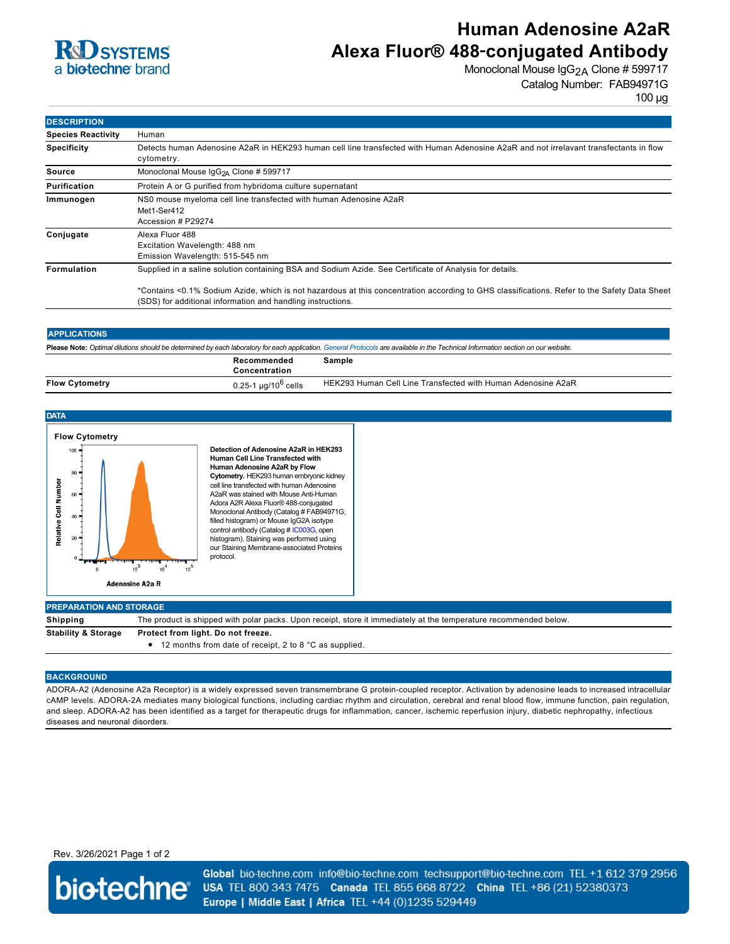

# **Human Adenosine A2aR Alexa Fluor® 488**‑**conjugated Antibody**

Monoclonal Mouse IgG<sub>2A</sub> Clone # 599717 Catalog Number: FAB94971G

100 µg

| <b>DESCRIPTION</b>        |                                                                                                                                                                                                            |  |
|---------------------------|------------------------------------------------------------------------------------------------------------------------------------------------------------------------------------------------------------|--|
| <b>Species Reactivity</b> | Human                                                                                                                                                                                                      |  |
| <b>Specificity</b>        | Detects human Adenosine A2aR in HEK293 human cell line transfected with Human Adenosine A2aR and not irrelavant transfectants in flow<br>cytometry.                                                        |  |
| Source                    | Monoclonal Mouse IgG <sub>2A</sub> Clone # 599717                                                                                                                                                          |  |
| <b>Purification</b>       | Protein A or G purified from hybridoma culture supernatant                                                                                                                                                 |  |
| Immunogen                 | NS0 mouse myeloma cell line transfected with human Adenosine A2aR<br>Met1-Ser412<br>Accession # P29274                                                                                                     |  |
| Conjugate                 | Alexa Fluor 488<br>Excitation Wavelength: 488 nm<br>Emission Wavelength: 515-545 nm                                                                                                                        |  |
| <b>Formulation</b>        | Supplied in a saline solution containing BSA and Sodium Azide. See Certificate of Analysis for details.                                                                                                    |  |
|                           | *Contains <0.1% Sodium Azide, which is not hazardous at this concentration according to GHS classifications. Refer to the Safety Data Sheet<br>(SDS) for additional information and handling instructions. |  |

| <b>APPLICATIONS</b> |  |
|---------------------|--|
|                     |  |
|                     |  |

**Please Note:** *Optimal dilutions should be determined by each laboratory for each application. [General Protocols](http://www.rndsystems.com/resources/protocols-troubleshooting-guides) are available in the Technical Information section on our website.*

|                       | Recommended<br>oncentration:           | sample                                                       |
|-----------------------|----------------------------------------|--------------------------------------------------------------|
| <b>Flow Cytometry</b> | µg/10 <sup>b</sup> cells<br>$0.25 - 1$ | HEK293 Human Cell Line Transfected with Human Adenosine A2aR |



#### **BACKGROUND**

ADORA-A2 (Adenosine A2a Receptor) is a widely expressed seven transmembrane G protein-coupled receptor. Activation by adenosine leads to increased intracellular cAMP levels. ADORA-2A mediates many biological functions, including cardiac rhythm and circulation, cerebral and renal blood flow, immune function, pain regulation, and sleep. ADORA-A2 has been identified as a target for therapeutic drugs for inflammation, cancer, ischemic reperfusion injury, diabetic nephropathy, infectious diseases and neuronal disorders.

### Rev. 3/26/2021 Page 1 of 2



Global bio-techne.com info@bio-techne.com techsupport@bio-techne.com TEL +1 612 379 2956 USA TEL 800 343 7475 Canada TEL 855 668 8722 China TEL +86 (21) 52380373 Europe | Middle East | Africa TEL +44 (0)1235 529449